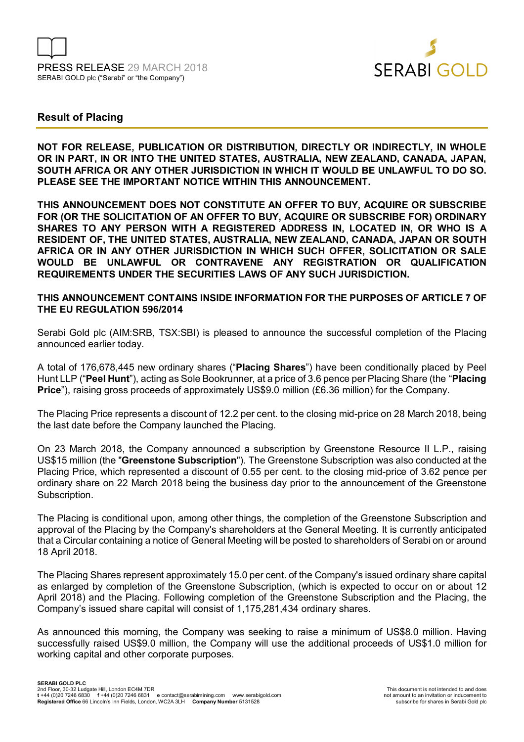



# **Result of Placing**

**NOT FOR RELEASE, PUBLICATION OR DISTRIBUTION, DIRECTLY OR INDIRECTLY, IN WHOLE OR IN PART, IN OR INTO THE UNITED STATES, AUSTRALIA, NEW ZEALAND, CANADA, JAPAN, SOUTH AFRICA OR ANY OTHER JURISDICTION IN WHICH IT WOULD BE UNLAWFUL TO DO SO. PLEASE SEE THE IMPORTANT NOTICE WITHIN THIS ANNOUNCEMENT.** 

**THIS ANNOUNCEMENT DOES NOT CONSTITUTE AN OFFER TO BUY, ACQUIRE OR SUBSCRIBE FOR (OR THE SOLICITATION OF AN OFFER TO BUY, ACQUIRE OR SUBSCRIBE FOR) ORDINARY SHARES TO ANY PERSON WITH A REGISTERED ADDRESS IN, LOCATED IN, OR WHO IS A RESIDENT OF, THE UNITED STATES, AUSTRALIA, NEW ZEALAND, CANADA, JAPAN OR SOUTH AFRICA OR IN ANY OTHER JURISDICTION IN WHICH SUCH OFFER, SOLICITATION OR SALE WOULD BE UNLAWFUL OR CONTRAVENE ANY REGISTRATION OR QUALIFICATION REQUIREMENTS UNDER THE SECURITIES LAWS OF ANY SUCH JURISDICTION.** 

## **THIS ANNOUNCEMENT CONTAINS INSIDE INFORMATION FOR THE PURPOSES OF ARTICLE 7 OF THE EU REGULATION 596/2014**

Serabi Gold plc (AIM:SRB, TSX:SBI) is pleased to announce the successful completion of the Placing announced earlier today.

A total of 176,678,445 new ordinary shares ("**Placing Shares**") have been conditionally placed by Peel Hunt LLP ("**Peel Hunt**"), acting as Sole Bookrunner, at a price of 3.6 pence per Placing Share (the "**Placing Price**"), raising gross proceeds of approximately US\$9.0 million (£6.36 million) for the Company.

The Placing Price represents a discount of 12.2 per cent. to the closing mid-price on 28 March 2018, being the last date before the Company launched the Placing.

On 23 March 2018, the Company announced a subscription by Greenstone Resource II L.P., raising US\$15 million (the "**Greenstone Subscription**"). The Greenstone Subscription was also conducted at the Placing Price, which represented a discount of 0.55 per cent. to the closing mid-price of 3.62 pence per ordinary share on 22 March 2018 being the business day prior to the announcement of the Greenstone Subscription.

The Placing is conditional upon, among other things, the completion of the Greenstone Subscription and approval of the Placing by the Company's shareholders at the General Meeting. It is currently anticipated that a Circular containing a notice of General Meeting will be posted to shareholders of Serabi on or around 18 April 2018.

The Placing Shares represent approximately 15.0 per cent. of the Company's issued ordinary share capital as enlarged by completion of the Greenstone Subscription, (which is expected to occur on or about 12 April 2018) and the Placing. Following completion of the Greenstone Subscription and the Placing, the Company's issued share capital will consist of 1,175,281,434 ordinary shares.

As announced this morning, the Company was seeking to raise a minimum of US\$8.0 million. Having successfully raised US\$9.0 million, the Company will use the additional proceeds of US\$1.0 million for working capital and other corporate purposes.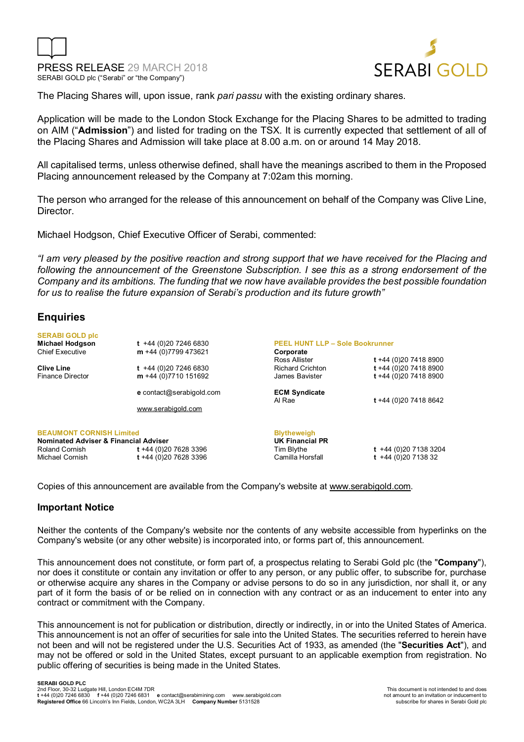



The Placing Shares will, upon issue, rank *pari passu* with the existing ordinary shares.

Application will be made to the London Stock Exchange for the Placing Shares to be admitted to trading on AIM ("**Admission**") and listed for trading on the TSX. It is currently expected that settlement of all of the Placing Shares and Admission will take place at 8.00 a.m. on or around 14 May 2018.

All capitalised terms, unless otherwise defined, shall have the meanings ascribed to them in the Proposed Placing announcement released by the Company at 7:02am this morning.

The person who arranged for the release of this announcement on behalf of the Company was Clive Line, **Director** 

Michael Hodgson, Chief Executive Officer of Serabi, commented:

*"I am very pleased by the positive reaction and strong support that we have received for the Placing and following the announcement of the Greenstone Subscription. I see this as a strong endorsement of the Company and its ambitions. The funding that we now have available provides the best possible foundation for us to realise the future expansion of Serabi's production and its future growth"* 

# **Enquiries**

| <b>SERABI GOLD plc</b>                           |                                                                |                         |                       |
|--------------------------------------------------|----------------------------------------------------------------|-------------------------|-----------------------|
| <b>Michael Hodgson</b>                           | <b>PEEL HUNT LLP - Sole Bookrunner</b><br>$t +44(0)2072466830$ |                         |                       |
| <b>Chief Executive</b>                           | $m + 44(0)7799473621$                                          | Corporate               |                       |
|                                                  |                                                                | Ross Allister           | t +44 (0)20 7418 8900 |
| <b>Clive Line</b>                                | $t +44(0)2072466830$                                           | <b>Richard Crichton</b> | t +44 (0)20 7418 8900 |
| <b>Finance Director</b>                          | $m + 44(0)7710151692$                                          | James Bavister          | t +44 (0)20 7418 8900 |
|                                                  | <b>e</b> contact@serabigold.com                                | <b>ECM Syndicate</b>    |                       |
|                                                  |                                                                | Al Rae                  | t +44 (0)20 7418 8642 |
|                                                  | www.serabigold.com                                             |                         |                       |
| <b>BEAUMONT CORNISH Limited</b>                  |                                                                | <b>Blytheweigh</b>      |                       |
| <b>Nominated Adviser &amp; Financial Adviser</b> |                                                                | UK Financial PR         |                       |
| Roland Cornish                                   | t +44 (0)20 7628 3396                                          | Tim Blythe              | $t +44(0)2071383204$  |
| Michael Cornish                                  | t +44 (0)20 7628 3396                                          | Camilla Horsfall        | $t +44(0)20713832$    |

Copies of this announcement are available from the Company's website at www.serabigold.com.

### **Important Notice**

Neither the contents of the Company's website nor the contents of any website accessible from hyperlinks on the Company's website (or any other website) is incorporated into, or forms part of, this announcement.

This announcement does not constitute, or form part of, a prospectus relating to Serabi Gold plc (the "**Company**"), nor does it constitute or contain any invitation or offer to any person, or any public offer, to subscribe for, purchase or otherwise acquire any shares in the Company or advise persons to do so in any jurisdiction, nor shall it, or any part of it form the basis of or be relied on in connection with any contract or as an inducement to enter into any contract or commitment with the Company.

This announcement is not for publication or distribution, directly or indirectly, in or into the United States of America. This announcement is not an offer of securities for sale into the United States. The securities referred to herein have not been and will not be registered under the U.S. Securities Act of 1933, as amended (the "**Securities Act**"), and may not be offered or sold in the United States, except pursuant to an applicable exemption from registration. No public offering of securities is being made in the United States.